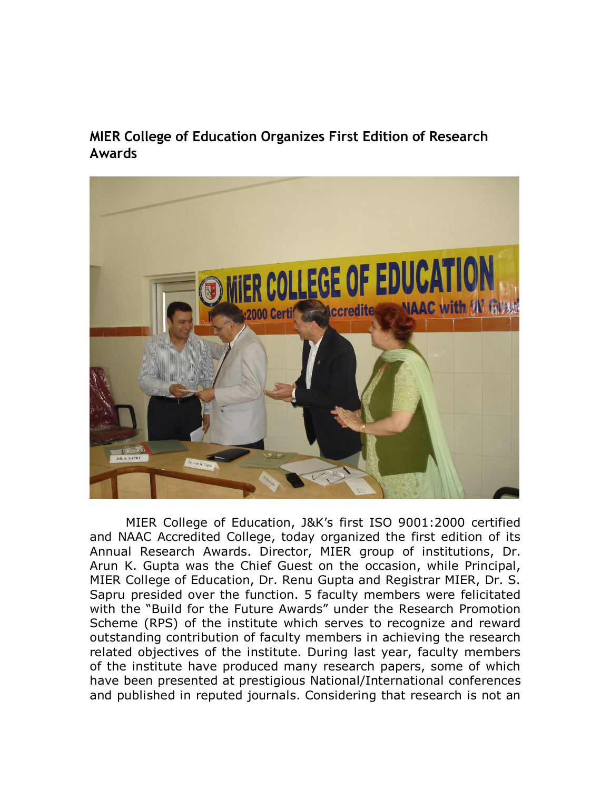**MIER College of Education Organizes First Edition of Research Awards**



MIER College of Education, J&K's first ISO 9001:2000 certified and NAAC Accredited College, today organized the first edition of its Annual Research Awards. Director, MIER group of institutions, Dr. Arun K. Gupta was the Chief Guest on the occasion, while Principal, MIER College of Education, Dr. Renu Gupta and Registrar MIER, Dr. S. Sapru presided over the function. 5 faculty members were felicitated with the "Build for the Future Awards" under the Research Promotion Scheme (RPS) of the institute which serves to recognize and reward outstanding contribution of faculty members in achieving the research related objectives of the institute. During last year, faculty members of the institute have produced many research papers, some of which have been presented at prestigious National/International conferences and published in reputed journals. Considering that research is not an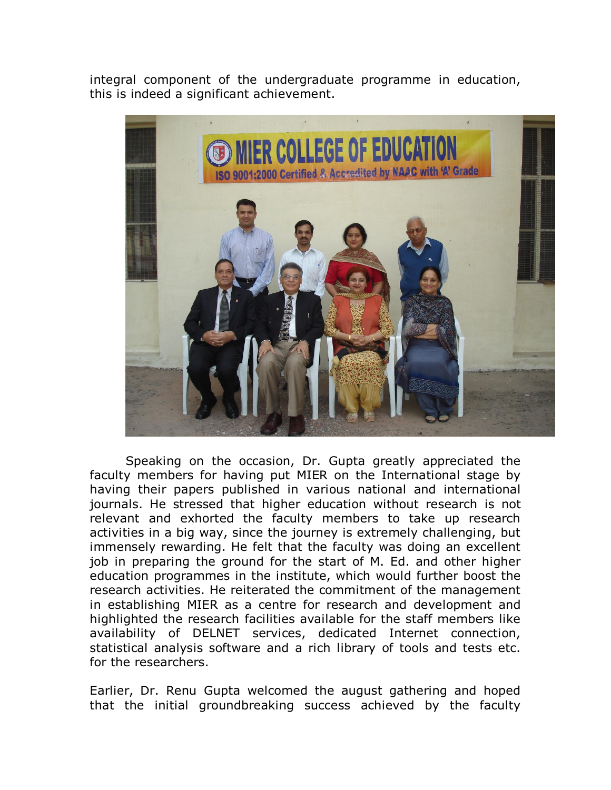integral component of the undergraduate programme in education, this is indeed a significant achievement.



Speaking on the occasion, Dr. Gupta greatly appreciated the faculty members for having put MIER on the International stage by having their papers published in various national and international journals. He stressed that higher education without research is not relevant and exhorted the faculty members to take up research activities in a big way, since the journey is extremely challenging, but immensely rewarding. He felt that the faculty was doing an excellent job in preparing the ground for the start of M. Ed. and other higher education programmes in the institute, which would further boost the research activities. He reiterated the commitment of the management in establishing MIER as a centre for research and development and highlighted the research facilities available for the staff members like availability of DELNET services, dedicated Internet connection, statistical analysis software and a rich library of tools and tests etc. for the researchers.

Earlier, Dr. Renu Gupta welcomed the august gathering and hoped that the initial groundbreaking success achieved by the faculty